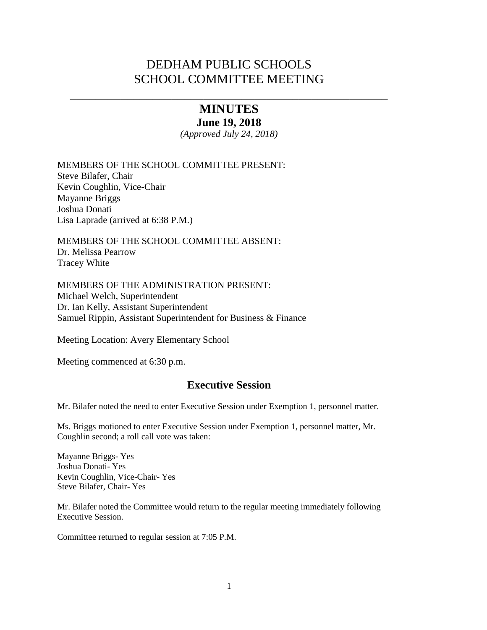# DEDHAM PUBLIC SCHOOLS SCHOOL COMMITTEE MEETING

\_\_\_\_\_\_\_\_\_\_\_\_\_\_\_\_\_\_\_\_\_\_\_\_\_\_\_\_\_\_\_\_\_\_\_\_\_\_\_\_\_\_\_\_\_\_\_\_\_\_

# **MINUTES**

**June 19, 2018**

*(Approved July 24, 2018)*

MEMBERS OF THE SCHOOL COMMITTEE PRESENT: Steve Bilafer, Chair Kevin Coughlin, Vice-Chair Mayanne Briggs Joshua Donati Lisa Laprade (arrived at 6:38 P.M.)

MEMBERS OF THE SCHOOL COMMITTEE ABSENT: Dr. Melissa Pearrow Tracey White

MEMBERS OF THE ADMINISTRATION PRESENT: Michael Welch, Superintendent Dr. Ian Kelly, Assistant Superintendent Samuel Rippin, Assistant Superintendent for Business & Finance

Meeting Location: Avery Elementary School

Meeting commenced at 6:30 p.m.

## **Executive Session**

Mr. Bilafer noted the need to enter Executive Session under Exemption 1, personnel matter.

Ms. Briggs motioned to enter Executive Session under Exemption 1, personnel matter, Mr. Coughlin second; a roll call vote was taken:

Mayanne Briggs- Yes Joshua Donati- Yes Kevin Coughlin, Vice-Chair- Yes Steve Bilafer, Chair- Yes

Mr. Bilafer noted the Committee would return to the regular meeting immediately following Executive Session.

Committee returned to regular session at 7:05 P.M.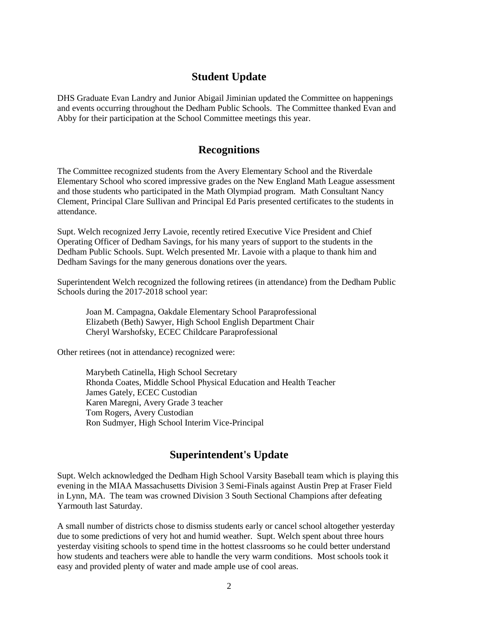## **Student Update**

DHS Graduate Evan Landry and Junior Abigail Jiminian updated the Committee on happenings and events occurring throughout the Dedham Public Schools. The Committee thanked Evan and Abby for their participation at the School Committee meetings this year.

## **Recognitions**

The Committee recognized students from the Avery Elementary School and the Riverdale Elementary School who scored impressive grades on the New England Math League assessment and those students who participated in the Math Olympiad program. Math Consultant Nancy Clement, Principal Clare Sullivan and Principal Ed Paris presented certificates to the students in attendance.

Supt. Welch recognized Jerry Lavoie, recently retired Executive Vice President and Chief Operating Officer of Dedham Savings, for his many years of support to the students in the Dedham Public Schools. Supt. Welch presented Mr. Lavoie with a plaque to thank him and Dedham Savings for the many generous donations over the years.

Superintendent Welch recognized the following retirees (in attendance) from the Dedham Public Schools during the 2017-2018 school year:

Joan M. Campagna, Oakdale Elementary School Paraprofessional Elizabeth (Beth) Sawyer, High School English Department Chair Cheryl Warshofsky, ECEC Childcare Paraprofessional

Other retirees (not in attendance) recognized were:

Marybeth Catinella, High School Secretary Rhonda Coates, Middle School Physical Education and Health Teacher James Gately, ECEC Custodian Karen Maregni, Avery Grade 3 teacher Tom Rogers, Avery Custodian Ron Sudmyer, High School Interim Vice-Principal

## **Superintendent's Update**

Supt. Welch acknowledged the Dedham High School Varsity Baseball team which is playing this evening in the MIAA Massachusetts Division 3 Semi-Finals against Austin Prep at Fraser Field in Lynn, MA. The team was crowned Division 3 South Sectional Champions after defeating Yarmouth last Saturday.

A small number of districts chose to dismiss students early or cancel school altogether yesterday due to some predictions of very hot and humid weather. Supt. Welch spent about three hours yesterday visiting schools to spend time in the hottest classrooms so he could better understand how students and teachers were able to handle the very warm conditions. Most schools took it easy and provided plenty of water and made ample use of cool areas.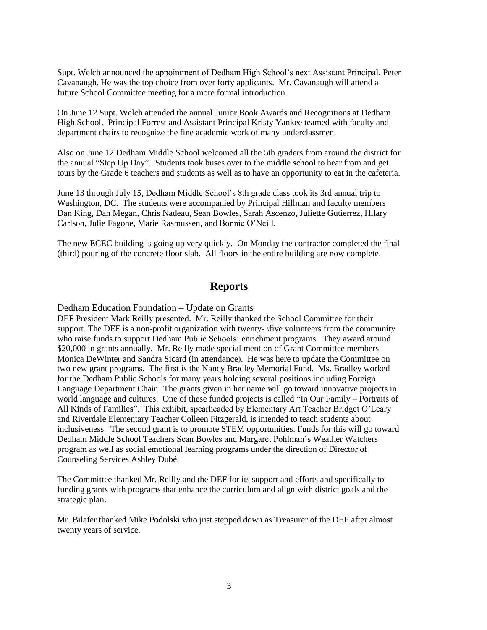Supt. Welch announced the appointment of Dedham High School's next Assistant Principal, Peter Cavanaugh. He was the top choice from over forty applicants. Mr. Cavanaugh will attend a future School Committee meeting for a more formal introduction.

On June 12 Supt. Welch attended the annual Junior Book Awards and Recognitions at Dedham High School. Principal Forrest and Assistant Principal Kristy Yankee teamed with faculty and department chairs to recognize the fine academic work of many underclassmen.

Also on June 12 Dedham Middle School welcomed all the 5th graders from around the district for the annual "Step Up Day". Students took buses over to the middle school to hear from and get tours by the Grade 6 teachers and students as well as to have an opportunity to eat in the cafeteria.

June 13 through July 15, Dedham Middle School's 8th grade class took its 3rd annual trip to Washington, DC. The students were accompanied by Principal Hillman and faculty members Dan King, Dan Megan, Chris Nadeau, Sean Bowles, Sarah Ascenzo, Juliette Gutierrez, Hilary Carlson, Julie Fagone, Marie Rasmussen, and Bonnie O'Neill.

The new ECEC building is going up very quickly. On Monday the contractor completed the final (third) pouring of the concrete floor slab. All floors in the entire building are now complete.

### **Reports**

### Dedham Education Foundation – Update on Grants

DEF President Mark Reilly presented. Mr. Reilly thanked the School Committee for their support. The DEF is a non-profit organization with twenty- \five volunteers from the community who raise funds to support Dedham Public Schools' enrichment programs. They award around \$20,000 in grants annually. Mr. Reilly made special mention of Grant Committee members Monica DeWinter and Sandra Sicard (in attendance). He was here to update the Committee on two new grant programs. The first is the Nancy Bradley Memorial Fund. Ms. Bradley worked for the Dedham Public Schools for many years holding several positions including Foreign Language Department Chair. The grants given in her name will go toward innovative projects in world language and cultures. One of these funded projects is called "In Our Family – Portraits of All Kinds of Families". This exhibit, spearheaded by Elementary Art Teacher Bridget O'Leary and Riverdale Elementary Teacher Colleen Fitzgerald, is intended to teach students about inclusiveness. The second grant is to promote STEM opportunities. Funds for this will go toward Dedham Middle School Teachers Sean Bowles and Margaret Pohlman's Weather Watchers program as well as social emotional learning programs under the direction of Director of Counseling Services Ashley Dubé.

The Committee thanked Mr. Reilly and the DEF for its support and efforts and specifically to funding grants with programs that enhance the curriculum and align with district goals and the strategic plan.

Mr. Bilafer thanked Mike Podolski who just stepped down as Treasurer of the DEF after almost twenty years of service.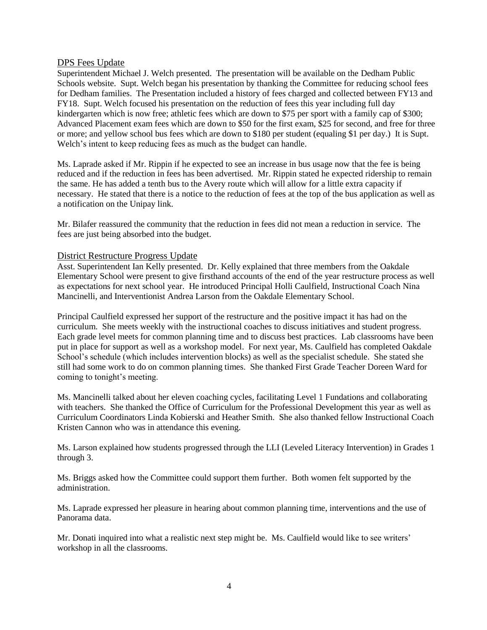### DPS Fees Update

Superintendent Michael J. Welch presented. The presentation will be available on the Dedham Public Schools website. Supt. Welch began his presentation by thanking the Committee for reducing school fees for Dedham families. The Presentation included a history of fees charged and collected between FY13 and FY18. Supt. Welch focused his presentation on the reduction of fees this year including full day kindergarten which is now free; athletic fees which are down to \$75 per sport with a family cap of \$300; Advanced Placement exam fees which are down to \$50 for the first exam, \$25 for second, and free for three or more; and yellow school bus fees which are down to \$180 per student (equaling \$1 per day.) It is Supt. Welch's intent to keep reducing fees as much as the budget can handle.

Ms. Laprade asked if Mr. Rippin if he expected to see an increase in bus usage now that the fee is being reduced and if the reduction in fees has been advertised. Mr. Rippin stated he expected ridership to remain the same. He has added a tenth bus to the Avery route which will allow for a little extra capacity if necessary. He stated that there is a notice to the reduction of fees at the top of the bus application as well as a notification on the Unipay link.

Mr. Bilafer reassured the community that the reduction in fees did not mean a reduction in service. The fees are just being absorbed into the budget.

### District Restructure Progress Update

Asst. Superintendent Ian Kelly presented. Dr. Kelly explained that three members from the Oakdale Elementary School were present to give firsthand accounts of the end of the year restructure process as well as expectations for next school year. He introduced Principal Holli Caulfield, Instructional Coach Nina Mancinelli, and Interventionist Andrea Larson from the Oakdale Elementary School.

Principal Caulfield expressed her support of the restructure and the positive impact it has had on the curriculum. She meets weekly with the instructional coaches to discuss initiatives and student progress. Each grade level meets for common planning time and to discuss best practices. Lab classrooms have been put in place for support as well as a workshop model. For next year, Ms. Caulfield has completed Oakdale School's schedule (which includes intervention blocks) as well as the specialist schedule. She stated she still had some work to do on common planning times. She thanked First Grade Teacher Doreen Ward for coming to tonight's meeting.

Ms. Mancinelli talked about her eleven coaching cycles, facilitating Level 1 Fundations and collaborating with teachers. She thanked the Office of Curriculum for the Professional Development this year as well as Curriculum Coordinators Linda Kobierski and Heather Smith. She also thanked fellow Instructional Coach Kristen Cannon who was in attendance this evening.

Ms. Larson explained how students progressed through the LLI (Leveled Literacy Intervention) in Grades 1 through 3.

Ms. Briggs asked how the Committee could support them further. Both women felt supported by the administration.

Ms. Laprade expressed her pleasure in hearing about common planning time, interventions and the use of Panorama data.

Mr. Donati inquired into what a realistic next step might be. Ms. Caulfield would like to see writers' workshop in all the classrooms.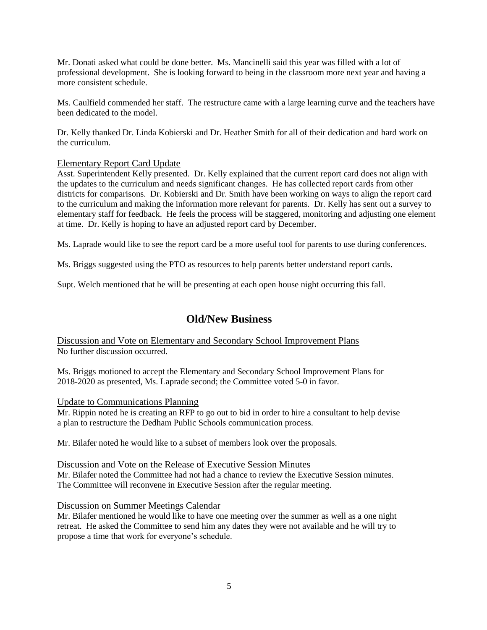Mr. Donati asked what could be done better. Ms. Mancinelli said this year was filled with a lot of professional development. She is looking forward to being in the classroom more next year and having a more consistent schedule.

Ms. Caulfield commended her staff. The restructure came with a large learning curve and the teachers have been dedicated to the model.

Dr. Kelly thanked Dr. Linda Kobierski and Dr. Heather Smith for all of their dedication and hard work on the curriculum.

### Elementary Report Card Update

Asst. Superintendent Kelly presented. Dr. Kelly explained that the current report card does not align with the updates to the curriculum and needs significant changes. He has collected report cards from other districts for comparisons. Dr. Kobierski and Dr. Smith have been working on ways to align the report card to the curriculum and making the information more relevant for parents. Dr. Kelly has sent out a survey to elementary staff for feedback. He feels the process will be staggered, monitoring and adjusting one element at time. Dr. Kelly is hoping to have an adjusted report card by December.

Ms. Laprade would like to see the report card be a more useful tool for parents to use during conferences.

Ms. Briggs suggested using the PTO as resources to help parents better understand report cards.

Supt. Welch mentioned that he will be presenting at each open house night occurring this fall.

## **Old/New Business**

Discussion and Vote on Elementary and Secondary School Improvement Plans No further discussion occurred.

Ms. Briggs motioned to accept the Elementary and Secondary School Improvement Plans for 2018-2020 as presented, Ms. Laprade second; the Committee voted 5-0 in favor.

### Update to Communications Planning

Mr. Rippin noted he is creating an RFP to go out to bid in order to hire a consultant to help devise a plan to restructure the Dedham Public Schools communication process.

Mr. Bilafer noted he would like to a subset of members look over the proposals.

Discussion and Vote on the Release of Executive Session Minutes Mr. Bilafer noted the Committee had not had a chance to review the Executive Session minutes. The Committee will reconvene in Executive Session after the regular meeting.

### Discussion on Summer Meetings Calendar

Mr. Bilafer mentioned he would like to have one meeting over the summer as well as a one night retreat. He asked the Committee to send him any dates they were not available and he will try to propose a time that work for everyone's schedule.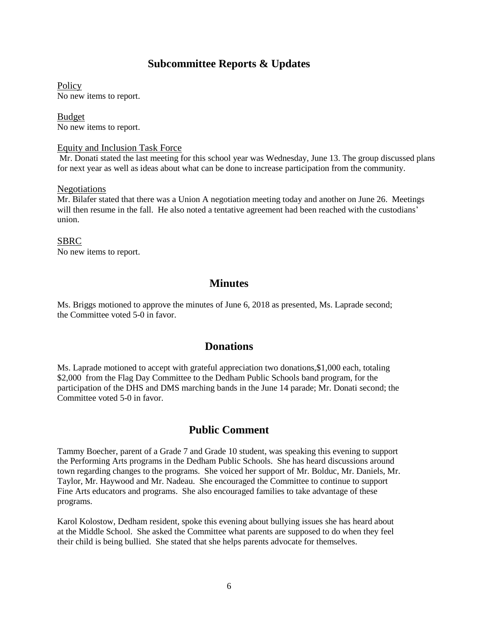## **Subcommittee Reports & Updates**

**Policy** No new items to report.

Budget No new items to report.

### Equity and Inclusion Task Force

Mr. Donati stated the last meeting for this school year was Wednesday, June 13. The group discussed plans for next year as well as ideas about what can be done to increase participation from the community.

#### Negotiations

Mr. Bilafer stated that there was a Union A negotiation meeting today and another on June 26. Meetings will then resume in the fall. He also noted a tentative agreement had been reached with the custodians' union.

SBRC No new items to report.

### **Minutes**

Ms. Briggs motioned to approve the minutes of June 6, 2018 as presented, Ms. Laprade second; the Committee voted 5-0 in favor.

### **Donations**

Ms. Laprade motioned to accept with grateful appreciation two donations,\$1,000 each, totaling \$2,000 from the Flag Day Committee to the Dedham Public Schools band program, for the participation of the DHS and DMS marching bands in the June 14 parade; Mr. Donati second; the Committee voted 5-0 in favor.

### **Public Comment**

Tammy Boecher, parent of a Grade 7 and Grade 10 student, was speaking this evening to support the Performing Arts programs in the Dedham Public Schools. She has heard discussions around town regarding changes to the programs. She voiced her support of Mr. Bolduc, Mr. Daniels, Mr. Taylor, Mr. Haywood and Mr. Nadeau. She encouraged the Committee to continue to support Fine Arts educators and programs. She also encouraged families to take advantage of these programs.

Karol Kolostow, Dedham resident, spoke this evening about bullying issues she has heard about at the Middle School. She asked the Committee what parents are supposed to do when they feel their child is being bullied. She stated that she helps parents advocate for themselves.